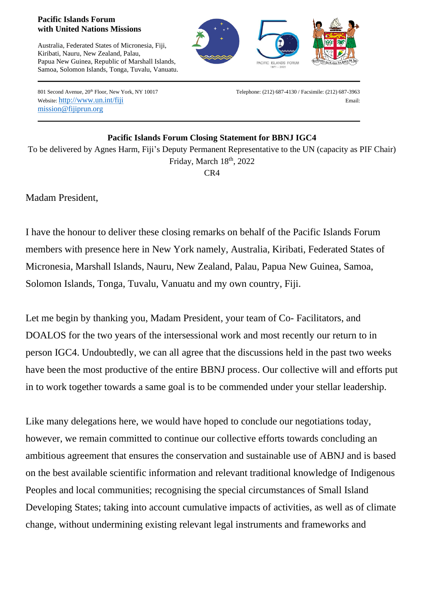## **Pacific Islands Forum with United Nations Missions**

Australia, Federated States of Micronesia, Fiji, Kiribati, Nauru, New Zealand, Palau, Papua New Guinea, Republic of Marshall Islands, Samoa, Solomon Islands, Tonga, Tuvalu, Vanuatu.



mission@fijiprun.org

801 Second Avenue,  $20^{\text{th}}$  Floor, New York, NY 10017 Telephone: (212) 687-4130 / Facsimile: (212) 687-3963 Website: http://www.un.int/fiji Email: Email: Email: Email: Email: Email: Email: Email: Email: Email: Email: Email: Email: Email: Email: Email: Email: Email: Email: Email: Email: Email: Email: Email: Email: Email: Email: E

## **Pacific Islands Forum Closing Statement for BBNJ IGC4**

To be delivered by Agnes Harm, Fiji's Deputy Permanent Representative to the UN (capacity as PIF Chair) Friday, March 18th, 2022 CR4

Madam President,

I have the honour to deliver these closing remarks on behalf of the Pacific Islands Forum members with presence here in New York namely, Australia, Kiribati, Federated States of Micronesia, Marshall Islands, Nauru, New Zealand, Palau, Papua New Guinea, Samoa, Solomon Islands, Tonga, Tuvalu, Vanuatu and my own country, Fiji.

Let me begin by thanking you, Madam President, your team of Co- Facilitators, and DOALOS for the two years of the intersessional work and most recently our return to in person IGC4. Undoubtedly, we can all agree that the discussions held in the past two weeks have been the most productive of the entire BBNJ process. Our collective will and efforts put in to work together towards a same goal is to be commended under your stellar leadership.

Like many delegations here, we would have hoped to conclude our negotiations today, however, we remain committed to continue our collective efforts towards concluding an ambitious agreement that ensures the conservation and sustainable use of ABNJ and is based on the best available scientific information and relevant traditional knowledge of Indigenous Peoples and local communities; recognising the special circumstances of Small Island Developing States; taking into account cumulative impacts of activities, as well as of climate change, without undermining existing relevant legal instruments and frameworks and